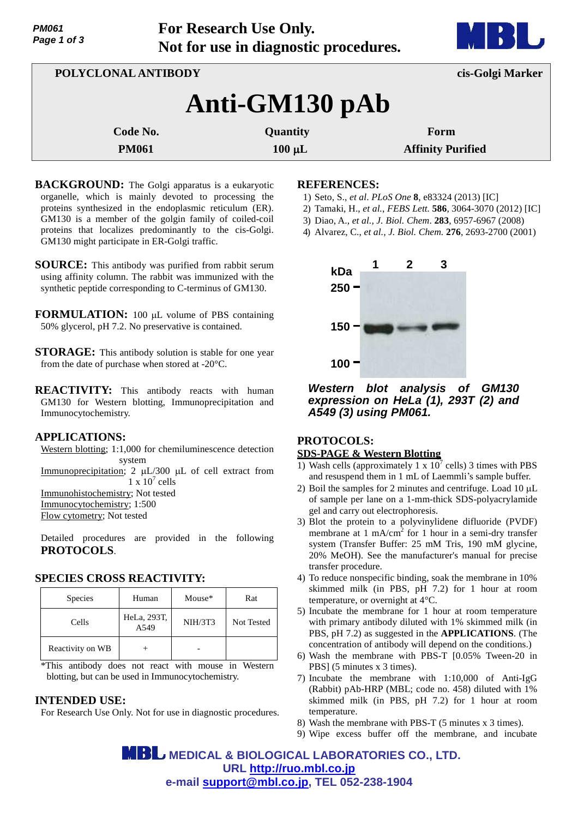**For Research Use Only. Not for use in diagnostic procedures.**



| POLYCLONAL ANTIBODY |             | cis-Golgi Marker         |  |  |
|---------------------|-------------|--------------------------|--|--|
| Anti-GM130 pAb      |             |                          |  |  |
| Code No.            | Quantity    | Form                     |  |  |
| <b>PM061</b>        | $100 \mu L$ | <b>Affinity Purified</b> |  |  |

**BACKGROUND:** The Golgi apparatus is a eukaryotic organelle, which is mainly devoted to processing the proteins synthesized in the endoplasmic reticulum (ER). GM130 is a member of the golgin family of coiled-coil proteins that localizes predominantly to the cis-Golgi. GM130 might participate in ER-Golgi traffic.

**SOURCE:** This antibody was purified from rabbit serum using affinity column. The rabbit was immunized with the synthetic peptide corresponding to C-terminus of GM130.

**FORMULATION:** 100 µL volume of PBS containing 50% glycerol, pH 7.2. No preservative is contained.

- **STORAGE:** This antibody solution is stable for one year from the date of purchase when stored at -20°C.
- **REACTIVITY:** This antibody reacts with human GM130 for Western blotting, Immunoprecipitation and Immunocytochemistry.

### **APPLICATIONS:**

Western blotting; 1:1,000 for chemiluminescence detection system

Immunoprecipitation; 2  $\mu$ L/300  $\mu$ L of cell extract from  $1 \times 10^7$  cells Immunohistochemistry; Not tested

Immunocytochemistry; 1:500

Flow cytometry; Not tested

Detailed procedures are provided in the following **PROTOCOLS**.

### **SPECIES CROSS REACTIVITY:**

| <b>Species</b>   | Human               | Mouse*         | Rat        |
|------------------|---------------------|----------------|------------|
| Cells            | HeLa, 293T,<br>A549 | <b>NIH/3T3</b> | Not Tested |
| Reactivity on WB |                     |                |            |

\*This antibody does not react with mouse in Western blotting, but can be used in Immunocytochemistry.

### **INTENDED USE:**

For Research Use Only. Not for use in diagnostic procedures.

### **REFERENCES:**

- 1) Seto, S., *et al*. *PLoS One* **8**, e83324 (2013) [IC]
- 2) Tamaki, H., *et al.*, *FEBS Lett.* **586**, 3064-3070 (2012) [IC]
- 3) Diao, A., *et al., J. Biol. Chem*. **283**, 6957-6967 (2008)
- 4) Alvarez, C., *et al., J. Biol. Chem.* **276**, 2693-2700 (2001)



*Western blot analysis of GM130 expression on HeLa (1), 293T (2) and A549 (3) using PM061.*

## **PROTOCOLS: SDS-PAGE & Western Blotting**

- 1) Wash cells (approximately 1 x  $10^7$  cells) 3 times with PBS and resuspend them in 1 mL of Laemmli's sample buffer.
- 2) Boil the samples for 2 minutes and centrifuge. Load  $10 \mu L$ of sample per lane on a 1-mm-thick SDS-polyacrylamide gel and carry out electrophoresis.
- 3) Blot the protein to a polyvinylidene difluoride (PVDF) membrane at 1 mA/cm<sup>2</sup> for 1 hour in a semi-dry transfer system (Transfer Buffer: 25 mM Tris, 190 mM glycine, 20% MeOH). See the manufacturer's manual for precise transfer procedure.
- 4) To reduce nonspecific binding, soak the membrane in 10% skimmed milk (in PBS, pH 7.2) for 1 hour at room temperature, or overnight at 4°C.
- 5) Incubate the membrane for 1 hour at room temperature with primary antibody diluted with 1% skimmed milk (in PBS, pH 7.2) as suggested in the **APPLICATIONS**. (The concentration of antibody will depend on the conditions.)
- 6) Wash the membrane with PBS-T [0.05% Tween-20 in PBS] (5 minutes x 3 times).
- 7) Incubate the membrane with 1:10,000 of Anti-IgG (Rabbit) pAb-HRP (MBL; code no. 458) diluted with 1% skimmed milk (in PBS, pH 7.2) for 1 hour at room temperature.
- 8) Wash the membrane with PBS-T (5 minutes x 3 times).
- 9) Wipe excess buffer off the membrane, and incubate

 **MEDICAL & BIOLOGICAL LABORATORIES CO., LTD. URL <http://ruo.mbl.co.jp> e-mail [support@mbl.co.jp,](mailto:support@mbl.co.jp) TEL 052-238-1904**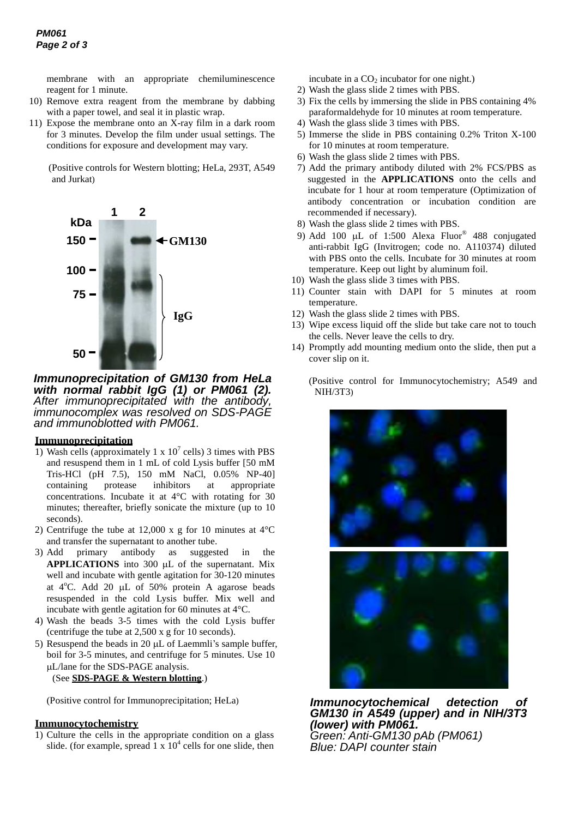membrane with an appropriate chemiluminescence reagent for 1 minute.

- 10) Remove extra reagent from the membrane by dabbing with a paper towel, and seal it in plastic wrap.
- 11) Expose the membrane onto an X-ray film in a dark room for 3 minutes. Develop the film under usual settings. The conditions for exposure and development may vary.

(Positive controls for Western blotting; HeLa, 293T, A549 and Jurkat)



*Immunoprecipitation of GM130 from HeLa with normal rabbit IgG (1) or PM061 (2). After immunoprecipitated with the antibody, immunocomplex was resolved on SDS-PAGE and immunoblotted with PM061.*

### **Immunoprecipitation**

- 1) Wash cells (approximately 1 x  $10<sup>7</sup>$  cells) 3 times with PBS and resuspend them in 1 mL of cold Lysis buffer [50 mM Tris-HCl (pH 7.5), 150 mM NaCl, 0.05% NP-40] containing protease inhibitors at appropriate concentrations. Incubate it at 4°C with rotating for 30 minutes; thereafter, briefly sonicate the mixture (up to 10 seconds).
- 2) Centrifuge the tube at 12,000 x g for 10 minutes at 4°C and transfer the supernatant to another tube.
- 3) Add primary antibody as suggested in the **APPLICATIONS** into 300 µL of the supernatant. Mix well and incubate with gentle agitation for 30-120 minutes at  $4^{\circ}$ C. Add 20 µL of 50% protein A agarose beads resuspended in the cold Lysis buffer. Mix well and incubate with gentle agitation for 60 minutes at 4°C.
- 4) Wash the beads 3-5 times with the cold Lysis buffer (centrifuge the tube at 2,500 x g for 10 seconds).
- 5) Resuspend the beads in 20 uL of Laemmli's sample buffer. boil for 3-5 minutes, and centrifuge for 5 minutes. Use 10 L/lane for the SDS-PAGE analysis. (See **SDS-PAGE & Western blotting**.)

(Positive control for Immunoprecipitation; HeLa)

### **Immunocytochemistry**

1) Culture the cells in the appropriate condition on a glass slide. (for example, spread  $1 \times 10^4$  cells for one slide, then incubate in a  $CO<sub>2</sub>$  incubator for one night.)

- 2) Wash the glass slide 2 times with PBS.
- 3) Fix the cells by immersing the slide in PBS containing 4% paraformaldehyde for 10 minutes at room temperature.
- 4) Wash the glass slide 3 times with PBS.
- 5) Immerse the slide in PBS containing 0.2% Triton X-100 for 10 minutes at room temperature.
- 6) Wash the glass slide 2 times with PBS.
- 7) Add the primary antibody diluted with 2% FCS/PBS as suggested in the **APPLICATIONS** onto the cells and incubate for 1 hour at room temperature (Optimization of antibody concentration or incubation condition are recommended if necessary).
- 8) Wash the glass slide 2 times with PBS.
- 9) Add 100  $\mu$ L of 1:500 Alexa Fluor<sup>®</sup> 488 conjugated anti-rabbit IgG (Invitrogen; code no. A110374) diluted with PBS onto the cells. Incubate for 30 minutes at room temperature. Keep out light by aluminum foil.
- 10) Wash the glass slide 3 times with PBS.
- 11) Counter stain with DAPI for 5 minutes at room temperature.
- 12) Wash the glass slide 2 times with PBS.
- 13) Wipe excess liquid off the slide but take care not to touch the cells. Never leave the cells to dry.
- 14) Promptly add mounting medium onto the slide, then put a cover slip on it.

(Positive control for Immunocytochemistry; A549 and NIH/3T3)



*Immunocytochemical detection of GM130 in A549 (upper) and in NIH/3T3 (lower) with PM061. Green: Anti-GM130 pAb (PM061) Blue: DAPI counter stain*